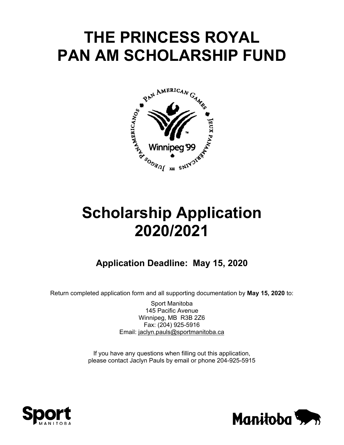# **THE PRINCESS ROYAL PAN AM SCHOLARSHIP FUND**



# **Scholarship Application 2020/2021**

# **Application Deadline: May 15, 2020**

Return completed application form and all supporting documentation by **May 15, 2020** to:

Sport Manitoba 145 Pacific Avenue Winnipeg, MB R3B 2Z6 Fax: (204) 925-5916 Email: jaclyn.pauls@sportmanitoba.ca

If you have any questions when filling out this application, please contact Jaclyn Pauls by email or phone 204-925-5915



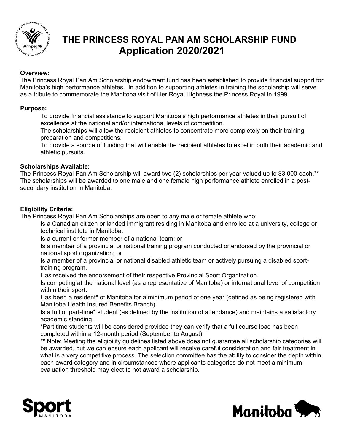

# **THE PRINCESS ROYAL PAN AM SCHOLARSHIP FUND Application 2020/2021**

## **Overview:**

The Princess Royal Pan Am Scholarship endowment fund has been established to provide financial support for Manitoba's high performance athletes. In addition to supporting athletes in training the scholarship will serve as a tribute to commemorate the Manitoba visit of Her Royal Highness the Princess Royal in 1999.

#### **Purpose:**

To provide financial assistance to support Manitoba's high performance athletes in their pursuit of excellence at the national and/or international levels of competition.

The scholarships will allow the recipient athletes to concentrate more completely on their training, preparation and competitions.

To provide a source of funding that will enable the recipient athletes to excel in both their academic and athletic pursuits.

#### **Scholarships Available:**

The Princess Royal Pan Am Scholarship will award two (2) scholarships per year valued up to \$3,000 each.\*\* The scholarships will be awarded to one male and one female high performance athlete enrolled in a postsecondary institution in Manitoba.

#### **Eligibility Criteria:**

The Princess Royal Pan Am Scholarships are open to any male or female athlete who:

Is a Canadian citizen or landed immigrant residing in Manitoba and enrolled at a university, college or technical institute in Manitoba.

Is a current or former member of a national team: or

Is a member of a provincial or national training program conducted or endorsed by the provincial or national sport organization; or

Is a member of a provincial or national disabled athletic team or actively pursuing a disabled sporttraining program.

Has received the endorsement of their respective Provincial Sport Organization.

Is competing at the national level (as a representative of Manitoba) or international level of competition within their sport.

Has been a resident\* of Manitoba for a minimum period of one year (defined as being registered with Manitoba Health Insured Benefits Branch).

Is a full or part-time\* student (as defined by the institution of attendance) and maintains a satisfactory academic standing.

 \*Part time students will be considered provided they can verify that a full course load has been completed within a 12-month period (September to August).

\*\* Note: Meeting the eligibility guidelines listed above does not guarantee all scholarship categories will be awarded, but we can ensure each applicant will receive careful consideration and fair treatment in what is a very competitive process. The selection committee has the ability to consider the depth within each award category and in circumstances where applicants categories do not meet a minimum evaluation threshold may elect to not award a scholarship.



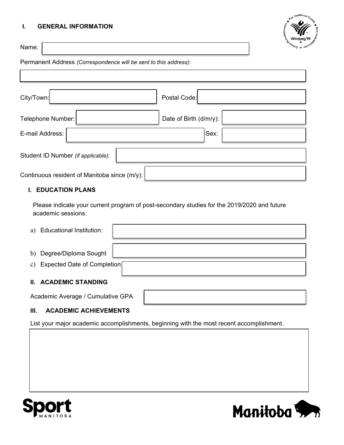## **I. GENERAL INFORMATION**

Name:



Permanent Address *(Correspondence will be sent to this address)*:

| City/Town:                                   |  | Postal Code:           |  |  |  |
|----------------------------------------------|--|------------------------|--|--|--|
| Telephone Number:                            |  | Date of Birth (d/m/y): |  |  |  |
| E-mail Address:                              |  | Sex:                   |  |  |  |
| Student ID Number (if applicable):           |  |                        |  |  |  |
| Continuous resident of Manitoba since (m/y): |  |                        |  |  |  |

#### **I. EDUCATION PLANS**

Please indicate your current program of post-secondary studies for the 2019/2020 and future academic sessions:

| a)                                | <b>Educational Institution:</b> |  |  |  |  |
|-----------------------------------|---------------------------------|--|--|--|--|
|                                   |                                 |  |  |  |  |
| $\mathbf{b}$                      | Degree/Diploma Sought           |  |  |  |  |
| $\mathbf{c})$                     | Expected Date of Completion     |  |  |  |  |
| Ш.                                | <b>ACADEMIC STANDING</b>        |  |  |  |  |
| Academic Average / Cumulative GPA |                                 |  |  |  |  |

# **III. ACADEMIC ACHIEVEMENTS**

List your major academic accomplishments, beginning with the most recent accomplishment.



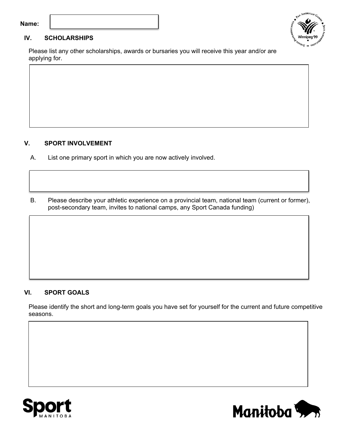#### **Name:**



Please list any other scholarships, awards or bursaries you will receive this year and/or are applying for.

#### **V. SPORT INVOLVEMENT**

- A. List one primary sport in which you are now actively involved.
- B. Please describe your athletic experience on a provincial team, national team (current or former), post-secondary team, invites to national camps, any Sport Canada funding)

# **VI. SPORT GOALS**

Please identify the short and long-term goals you have set for yourself for the current and future competitive seasons.





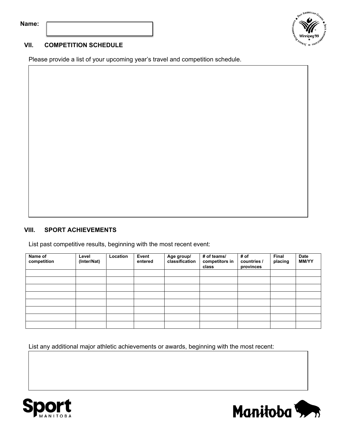|  | lame |  |
|--|------|--|
|  |      |  |



# **VII. COMPETITION SCHEDULE**

Please provide a list of your upcoming year's travel and competition schedule.

# **VIII. SPORT ACHIEVEMENTS**

List past competitive results, beginning with the most recent event:

| Name of<br>competition | Level<br>(Inter/Nat) | Location | Event<br>entered | Age group/<br>classification | # of teams/<br>competitors in<br>class | # of<br>countries /<br>provinces | <b>Final</b><br>placing | <b>Date</b><br><b>MM/YY</b> |
|------------------------|----------------------|----------|------------------|------------------------------|----------------------------------------|----------------------------------|-------------------------|-----------------------------|
|                        |                      |          |                  |                              |                                        |                                  |                         |                             |
|                        |                      |          |                  |                              |                                        |                                  |                         |                             |
|                        |                      |          |                  |                              |                                        |                                  |                         |                             |
|                        |                      |          |                  |                              |                                        |                                  |                         |                             |
|                        |                      |          |                  |                              |                                        |                                  |                         |                             |
|                        |                      |          |                  |                              |                                        |                                  |                         |                             |
|                        |                      |          |                  |                              |                                        |                                  |                         |                             |
|                        |                      |          |                  |                              |                                        |                                  |                         |                             |

List any additional major athletic achievements or awards, beginning with the most recent:



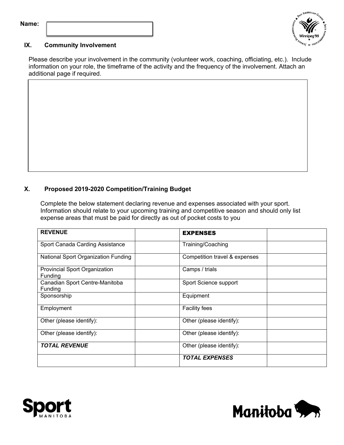| Name: |  |
|-------|--|
|       |  |
|       |  |
|       |  |



## **IX. Community Involvement**

Please describe your involvement in the community (volunteer work, coaching, officiating, etc.). Include information on your role, the timeframe of the activity and the frequency of the involvement. Attach an additional page if required.

## **X. Proposed 2019-2020 Competition/Training Budget**

Complete the below statement declaring revenue and expenses associated with your sport. Information should relate to your upcoming training and competitive season and should only list expense areas that must be paid for directly as out of pocket costs to you

| <b>REVENUE</b>                                  | <b>EXPENSES</b>               |  |
|-------------------------------------------------|-------------------------------|--|
| Sport Canada Carding Assistance                 | Training/Coaching             |  |
| National Sport Organization Funding             | Competition travel & expenses |  |
| <b>Provincial Sport Organization</b><br>Funding | Camps / trials                |  |
| Canadian Sport Centre-Manitoba<br>Funding       | Sport Science support         |  |
| Sponsorship                                     | Equipment                     |  |
| Employment                                      | <b>Facility fees</b>          |  |
| Other (please identify):                        | Other (please identify):      |  |
| Other (please identify):                        | Other (please identify):      |  |
| <b>TOTAL REVENUE</b>                            | Other (please identify):      |  |
|                                                 | <b>TOTAL EXPENSES</b>         |  |